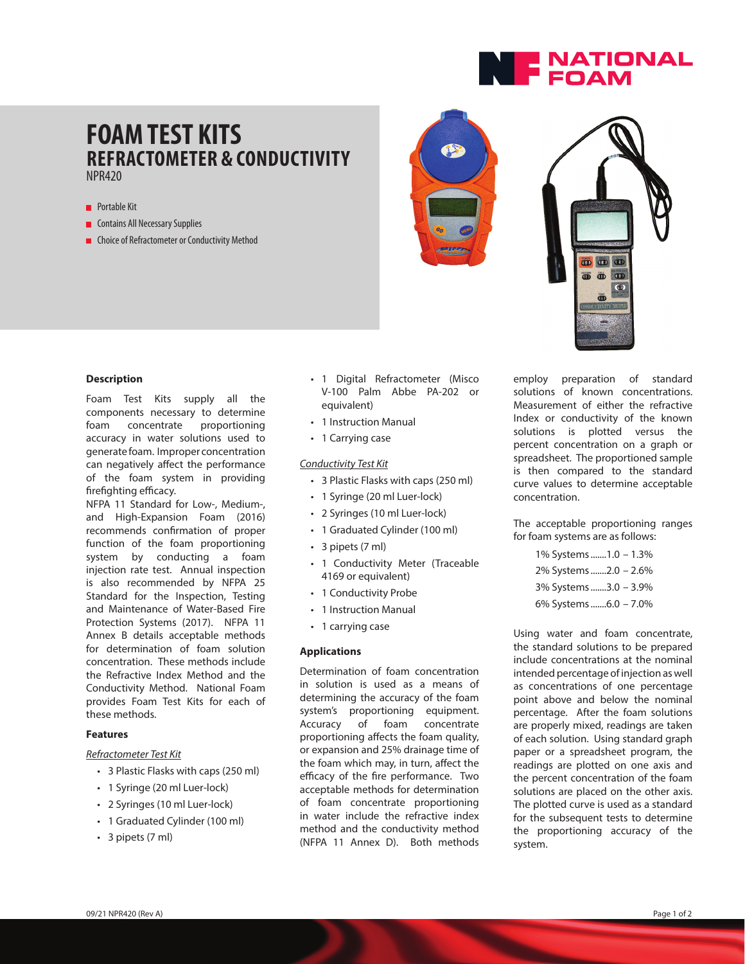

# **FOAM TEST KITS REFRACTOMETER & CONDUCTIVITY** NPR420

## **Portable Kit**

- **Contains All Necessary Supplies**
- **n** Choice of Refractometer or Conductivity Method





#### **Description**

Foam Test Kits supply all the components necessary to determine foam concentrate proportioning accuracy in water solutions used to generate foam. Improper concentration can negatively affect the performance of the foam system in providing firefighting efficacy.

NFPA 11 Standard for Low-, Medium-, and High-Expansion Foam (2016) recommends confirmation of proper function of the foam proportioning system by conducting a foam injection rate test. Annual inspection is also recommended by NFPA 25 Standard for the Inspection, Testing and Maintenance of Water-Based Fire Protection Systems (2017). NFPA 11 Annex B details acceptable methods for determination of foam solution concentration. These methods include the Refractive Index Method and the Conductivity Method. National Foam provides Foam Test Kits for each of these methods.

## **Features**

## *Refractometer Test Kit*

- 3 Plastic Flasks with caps (250 ml)
- 1 Syringe (20 ml Luer-lock)
- 2 Syringes (10 ml Luer-lock)
- 1 Graduated Cylinder (100 ml)
- 3 pipets (7 ml)
- 1 Digital Refractometer (Misco V-100 Palm Abbe PA-202 or equivalent)
- 1 Instruction Manual
- 1 Carrying case

#### *Conductivity Test Kit*

- 3 Plastic Flasks with caps (250 ml)
- 1 Syringe (20 ml Luer-lock)
- 2 Syringes (10 ml Luer-lock)
- 1 Graduated Cylinder (100 ml)
- 3 pipets (7 ml)
- 1 Conductivity Meter (Traceable 4169 or equivalent)
- 1 Conductivity Probe
- 1 Instruction Manual
- 1 carrying case

### **Applications**

Determination of foam concentration in solution is used as a means of determining the accuracy of the foam system's proportioning equipment. Accuracy of foam concentrate proportioning affects the foam quality, or expansion and 25% drainage time of the foam which may, in turn, affect the efficacy of the fire performance. Two acceptable methods for determination of foam concentrate proportioning in water include the refractive index method and the conductivity method (NFPA 11 Annex D). Both methods

employ preparation of standard solutions of known concentrations. Measurement of either the refractive Index or conductivity of the known solutions is plotted versus the percent concentration on a graph or spreadsheet. The proportioned sample is then compared to the standard curve values to determine acceptable concentration.

The acceptable proportioning ranges for foam systems are as follows:

> 1% Systems .......1.0 – 1.3% 2% Systems .......2.0 – 2.6% 3% Systems .......3.0 – 3.9% 6% Systems .......6.0 – 7.0%

Using water and foam concentrate, the standard solutions to be prepared include concentrations at the nominal intended percentage of injection as well as concentrations of one percentage point above and below the nominal percentage. After the foam solutions are properly mixed, readings are taken of each solution. Using standard graph paper or a spreadsheet program, the readings are plotted on one axis and the percent concentration of the foam solutions are placed on the other axis. The plotted curve is used as a standard for the subsequent tests to determine the proportioning accuracy of the system.